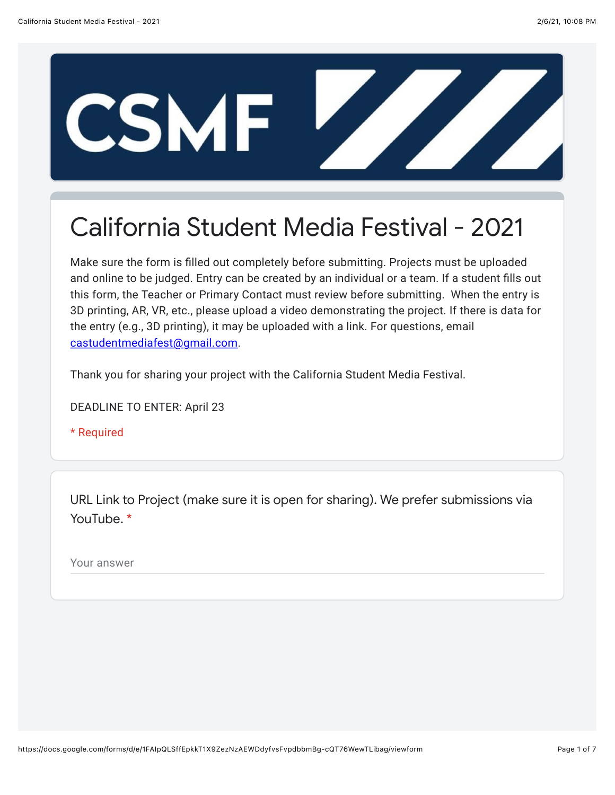

## California Student Media Festival - 2021

Make sure the form is filled out completely before submitting. Projects must be uploaded and online to be judged. Entry can be created by an individual or a team. If a student fills out this form, the Teacher or Primary Contact must review before submitting. When the entry is 3D printing, AR, VR, etc., please upload a video demonstrating the project. If there is data for the entry (e.g., 3D printing), it may be uploaded with a link. For questions, email [castudentmediafest@gmail.com.](mailto:castudentmediafest@gmail.com)

Thank you for sharing your project with the California Student Media Festival.

DEADLINE TO ENTER: April 23

\* Required

URL Link to Project (make sure it is open for sharing). We prefer submissions via YouTube. \*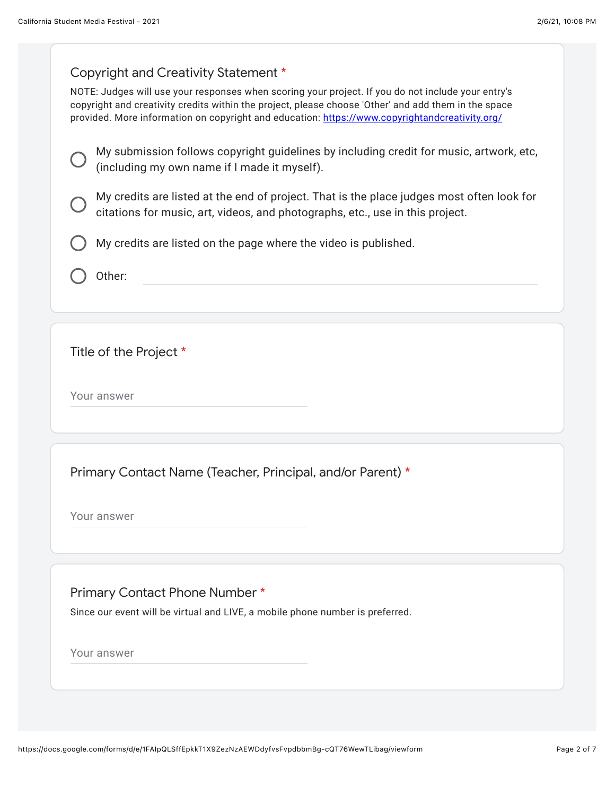## Copyright and Creativity Statement \*

NOTE: Judges will use your responses when scoring your project. If you do not include your entry's copyright and creativity credits within the project, please choose 'Other' and add them in the space provided. More information on copyright and education: [https://www.copyrightandcreativity.org/](https://www.google.com/url?q=https://www.copyrightandcreativity.org/&sa=D&source=editors&ust=1612681685025000&usg=AFQjCNFI8g4z9M8hjCwQ60VnwtN4zNbWwA)

|  | $\sim$ My submission follows copyright guidelines by including credit for music, artwork, etc, |
|--|------------------------------------------------------------------------------------------------|
|  | $\cup$ (including my own name if I made it myself).                                            |

My credits are listed at the end of project. That is the place judges most often look for citations for music, art, videos, and photographs, etc., use in this project.

My credits are listed on the page where the video is published.

Other:

Title of the Project \*

Your answer

Primary Contact Name (Teacher, Principal, and/or Parent) \*

Your answer

Primary Contact Phone Number \*

Since our event will be virtual and LIVE, a mobile phone number is preferred.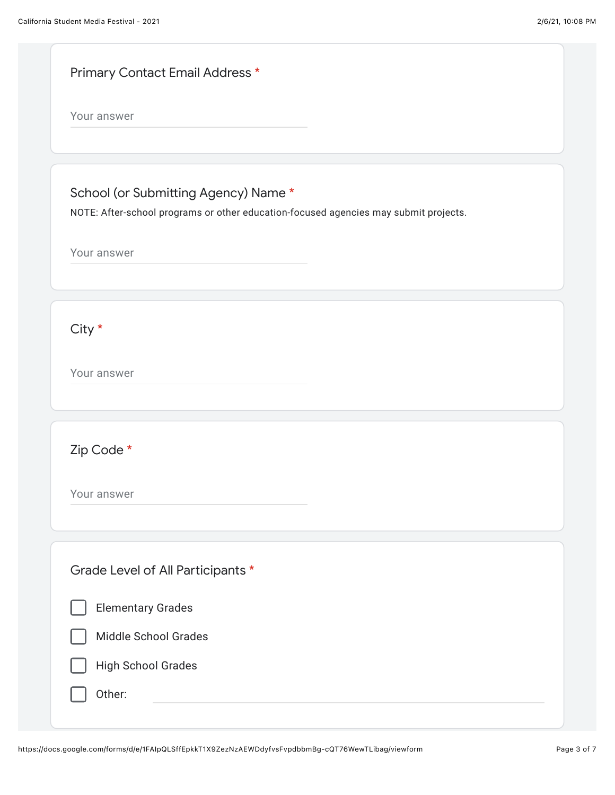|             | Primary Contact Email Address *                                                      |
|-------------|--------------------------------------------------------------------------------------|
| Your answer |                                                                                      |
|             |                                                                                      |
|             | School (or Submitting Agency) Name *                                                 |
|             | NOTE: After-school programs or other education-focused agencies may submit projects. |
| Your answer |                                                                                      |
|             |                                                                                      |
|             |                                                                                      |
| City *      |                                                                                      |
| Your answer |                                                                                      |
|             |                                                                                      |
|             |                                                                                      |
| Zip Code *  |                                                                                      |
| Your answer |                                                                                      |
|             |                                                                                      |
|             |                                                                                      |
|             | Grade Level of All Participants *                                                    |
|             | <b>Elementary Grades</b>                                                             |
|             | <b>Middle School Grades</b>                                                          |
|             | <b>High School Grades</b>                                                            |
|             | Other:                                                                               |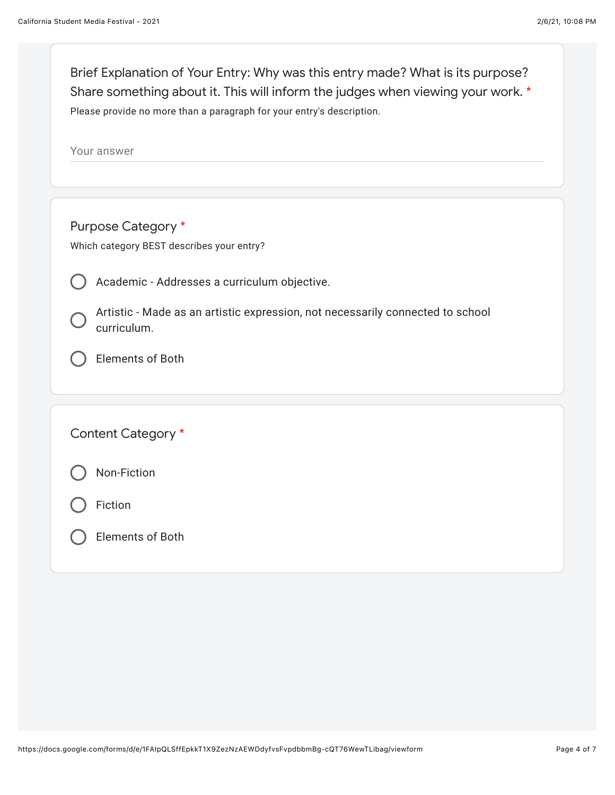| Brief Explanation of Your Entry: Why was this entry made? What is its purpose?<br>Share something about it. This will inform the judges when viewing your work. *<br>Please provide no more than a paragraph for your entry's description. |
|--------------------------------------------------------------------------------------------------------------------------------------------------------------------------------------------------------------------------------------------|
| Your answer                                                                                                                                                                                                                                |
|                                                                                                                                                                                                                                            |
| Purpose Category *                                                                                                                                                                                                                         |
| Which category BEST describes your entry?                                                                                                                                                                                                  |
|                                                                                                                                                                                                                                            |
| Academic - Addresses a curriculum objective.                                                                                                                                                                                               |
| Artistic - Made as an artistic expression, not necessarily connected to school<br>curriculum.                                                                                                                                              |
| <b>Elements of Both</b>                                                                                                                                                                                                                    |
|                                                                                                                                                                                                                                            |
| Content Category *                                                                                                                                                                                                                         |
| Non-Fiction                                                                                                                                                                                                                                |
| Fiction                                                                                                                                                                                                                                    |
| <b>Elements of Both</b>                                                                                                                                                                                                                    |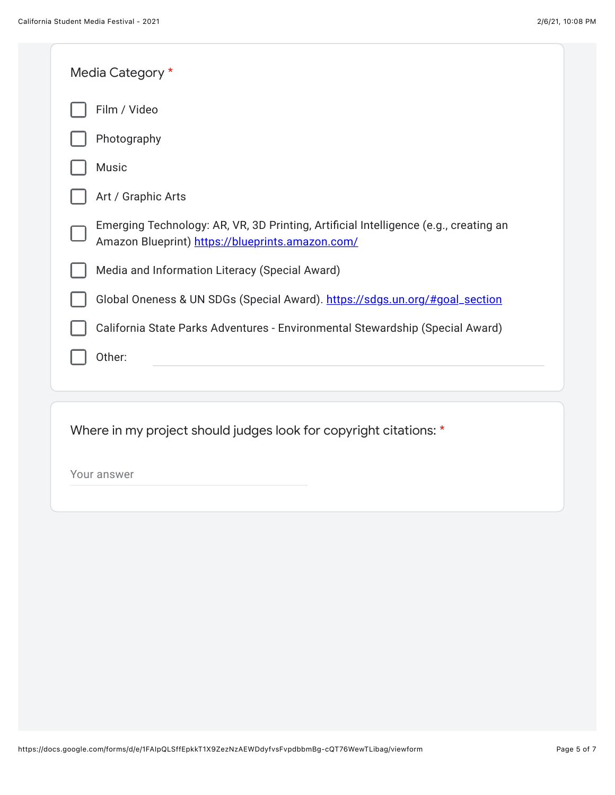| Media Category *                                                                                                                         |
|------------------------------------------------------------------------------------------------------------------------------------------|
| Film / Video                                                                                                                             |
| Photography                                                                                                                              |
| Music                                                                                                                                    |
| Art / Graphic Arts                                                                                                                       |
| Emerging Technology: AR, VR, 3D Printing, Artificial Intelligence (e.g., creating an<br>Amazon Blueprint) https://blueprints.amazon.com/ |
| Media and Information Literacy (Special Award)                                                                                           |
| Global Oneness & UN SDGs (Special Award). https://sdgs.un.org/#goal_section                                                              |
| California State Parks Adventures - Environmental Stewardship (Special Award)                                                            |
| Other:                                                                                                                                   |
|                                                                                                                                          |
| Where in my project should judges look for copyright citations: *                                                                        |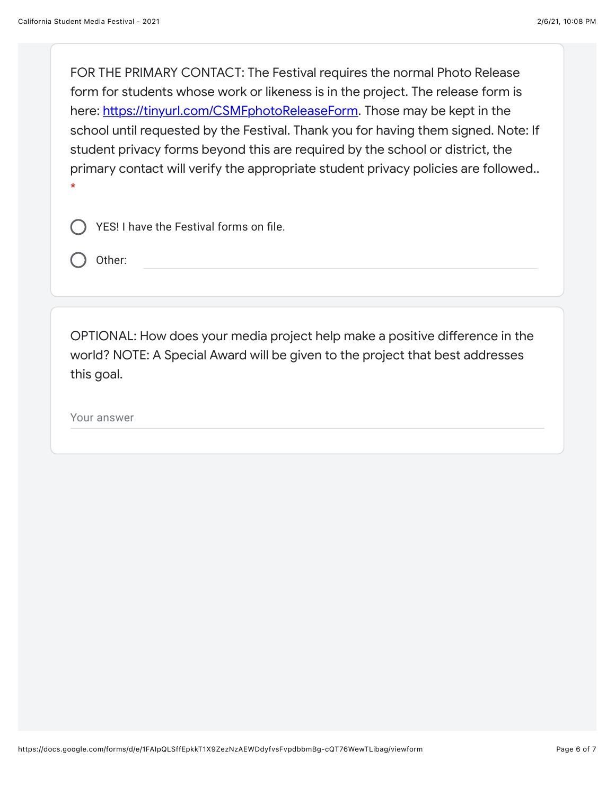FOR THE PRIMARY CONTACT: The Festival requires the normal Photo Release form for students whose work or likeness is in the project. The release form is here: htt[ps://tinyurl.com/CSMFphotoReleaseForm.](https://www.google.com/url?q=https://tinyurl.com/CSMFphotoReleaseForm&sa=D&source=editors&ust=1612681685038000&usg=AFQjCNEvjbAHjirtWtTC2QXB6BEJP63Ndw) Those may be kept in the school until requested by the Festival. Thank you for having them signed. Note: If student privacy forms beyond this are required by the school or district, the primary contact will verify the appropriate student privacy policies are followed.. \*

YES! I have the Festival forms on file.

Other:

OPTIONAL: How does your media project help make a positive difference in the world? NOTE: A Special Award will be given to the project that best addresses this goal.